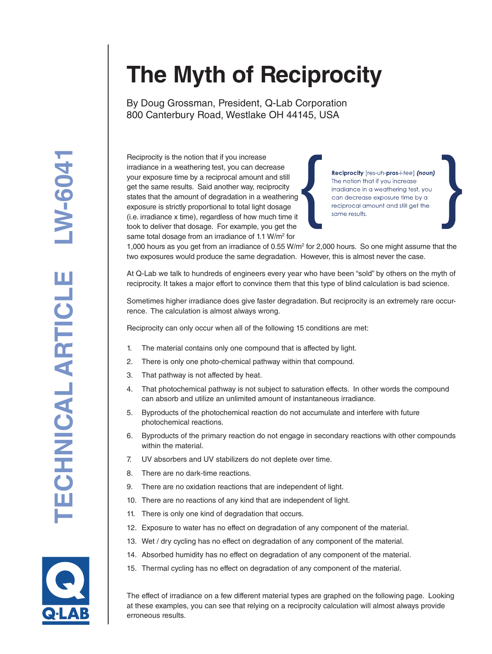## **The Myth of Reciprocity**

By Doug Grossman, President, Q-Lab Corporation 800 Canterbury Road, Westlake OH 44145, USA

Reciprocity is the notion that if you increase irradiance in a weathering test, you can decrease your exposure time by a reciprocal amount and still get the same results. Said another way, reciprocity states that the amount of degradation in a weathering exposure is strictly proportional to total light dosage (i.e. irradiance x time), regardless of how much time it took to deliver that dosage. For example, you get the same total dosage from an irradiance of 1.1 W/m<sup>2</sup> for

Reciprocity [res-uh-pros-i-tee] (noun) The notion that if you increase irradiance in a weathering test, you can decrease exposure time by a reciprocal amount and still get the same results.

1,000 hours as you get from an irradiance of 0.55 W/m<sup>2</sup> for 2,000 hours. So one might assume that the two exposures would produce the same degradation. However, this is almost never the case.

At Q-Lab we talk to hundreds of engineers every year who have been "sold" by others on the myth of reciprocity. It takes a major effort to convince them that this type of blind calculation is bad science.

Sometimes higher irradiance does give faster degradation. But reciprocity is an extremely rare occurrence. The calculation is almost always wrong.

Reciprocity can only occur when all of the following 15 conditions are met:

- 1. The material contains only one compound that is affected by light.
- 2. There is only one photo-chemical pathway within that compound.
- 3. That pathway is not affected by heat.
- 4. That photochemical pathway is not subject to saturation effects. In other words the compound can absorb and utilize an unlimited amount of instantaneous irradiance.
- 5. Byproducts of the photochemical reaction do not accumulate and interfere with future photochemical reactions.
- 6. Byproducts of the primary reaction do not engage in secondary reactions with other compounds within the material.
- 7. UV absorbers and UV stabilizers do not deplete over time.
- 8. There are no dark-time reactions.
- 9. There are no oxidation reactions that are independent of light.
- 10. There are no reactions of any kind that are independent of light.
- 11. There is only one kind of degradation that occurs.
- 12. Exposure to water has no effect on degradation of any component of the material.
- 13. Wet / dry cycling has no effect on degradation of any component of the material.
- 14. Absorbed humidity has no effect on degradation of any component of the material.
- 15. Thermal cycling has no effect on degradation of any component of the material.

The effect of irradiance on a few different material types are graphed on the following page. Looking at these examples, you can see that relying on a reciprocity calculation will almost always provide erroneous results.